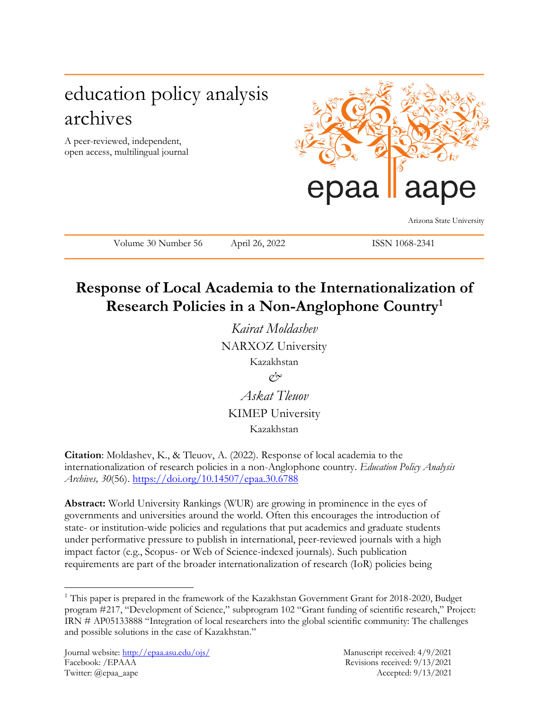# education policy analysis archives

A peer-reviewed, independent, open access, multilingual journal



Arizona State University

Volume 30 Number 56 April 26, 2022 ISSN 1068-2341

# **Response of Local Academia to the Internationalization of Research Policies in a Non-Anglophone Country<sup>1</sup>**

*Kairat Moldashev* NARXOZ University Kazakhstan

*&*

*Askat Tleuov* KIMEP University Kazakhstan

**Citation**: Moldashev, K., & Tleuov, A. (2022). Response of local academia to the internationalization of research policies in a non-Anglophone country. *Education Policy Analysis Archives, 30*(56).<https://doi.org/10.14507/epaa.30.6788>

**Abstract:** World University Rankings (WUR) are growing in prominence in the eyes of governments and universities around the world. Often this encourages the introduction of state- or institution-wide policies and regulations that put academics and graduate students under performative pressure to publish in international, peer-reviewed journals with a high impact factor (e.g., Scopus- or Web of Science-indexed journals). Such publication requirements are part of the broader internationalization of research (IoR) policies being

l

<sup>&</sup>lt;sup>1</sup> This paper is prepared in the framework of the Kazakhstan Government Grant for 2018-2020, Budget program #217, "Development of Science," subprogram 102 "Grant funding of scientific research," Project: IRN # АР05133888 "Integration of local researchers into the global scientific community: The challenges and possible solutions in the case of Kazakhstan."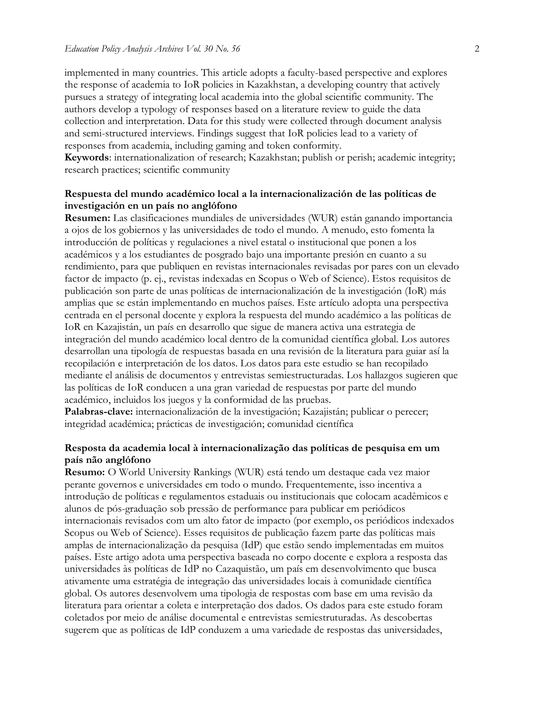implemented in many countries. This article adopts a faculty-based perspective and explores the response of academia to IoR policies in Kazakhstan, a developing country that actively pursues a strategy of integrating local academia into the global scientific community. The authors develop a typology of responses based on a literature review to guide the data collection and interpretation. Data for this study were collected through document analysis and semi-structured interviews. Findings suggest that IoR policies lead to a variety of responses from academia, including gaming and token conformity.

**Keywords**: internationalization of research; Kazakhstan; publish or perish; academic integrity; research practices; scientific community

#### **Respuesta del mundo académico local a la internacionalización de las políticas de investigación en un país no anglófono**

**Resumen:** Las clasificaciones mundiales de universidades (WUR) están ganando importancia a ojos de los gobiernos y las universidades de todo el mundo. A menudo, esto fomenta la introducción de políticas y regulaciones a nivel estatal o institucional que ponen a los académicos y a los estudiantes de posgrado bajo una importante presión en cuanto a su rendimiento, para que publiquen en revistas internacionales revisadas por pares con un elevado factor de impacto (p. ej., revistas indexadas en Scopus o Web of Science). Estos requisitos de publicación son parte de unas políticas de internacionalización de la investigación (IoR) más amplias que se están implementando en muchos países. Este artículo adopta una perspectiva centrada en el personal docente y explora la respuesta del mundo académico a las políticas de IoR en Kazajistán, un país en desarrollo que sigue de manera activa una estrategia de integración del mundo académico local dentro de la comunidad científica global. Los autores desarrollan una tipología de respuestas basada en una revisión de la literatura para guiar así la recopilación e interpretación de los datos. Los datos para este estudio se han recopilado mediante el análisis de documentos y entrevistas semiestructuradas. Los hallazgos sugieren que las políticas de IoR conducen a una gran variedad de respuestas por parte del mundo académico, incluidos los juegos y la conformidad de las pruebas. **Palabras-clave:** internacionalización de la investigación; Kazajistán; publicar o perecer;

integridad académica; prácticas de investigación; comunidad científica

#### **Resposta da academia local à internacionalização das políticas de pesquisa em um país não anglófono**

**Resumo:** O World University Rankings (WUR) está tendo um destaque cada vez maior perante governos e universidades em todo o mundo. Frequentemente, isso incentiva a introdução de políticas e regulamentos estaduais ou institucionais que colocam acadêmicos e alunos de pós-graduação sob pressão de performance para publicar em periódicos internacionais revisados com um alto fator de impacto (por exemplo, os periódicos indexados Scopus ou Web of Science). Esses requisitos de publicação fazem parte das políticas mais amplas de internacionalização da pesquisa (IdP) que estão sendo implementadas em muitos países. Este artigo adota uma perspectiva baseada no corpo docente e explora a resposta das universidades às políticas de IdP no Cazaquistão, um país em desenvolvimento que busca ativamente uma estratégia de integração das universidades locais à comunidade científica global. Os autores desenvolvem uma tipologia de respostas com base em uma revisão da literatura para orientar a coleta e interpretação dos dados. Os dados para este estudo foram coletados por meio de análise documental e entrevistas semiestruturadas. As descobertas sugerem que as políticas de IdP conduzem a uma variedade de respostas das universidades,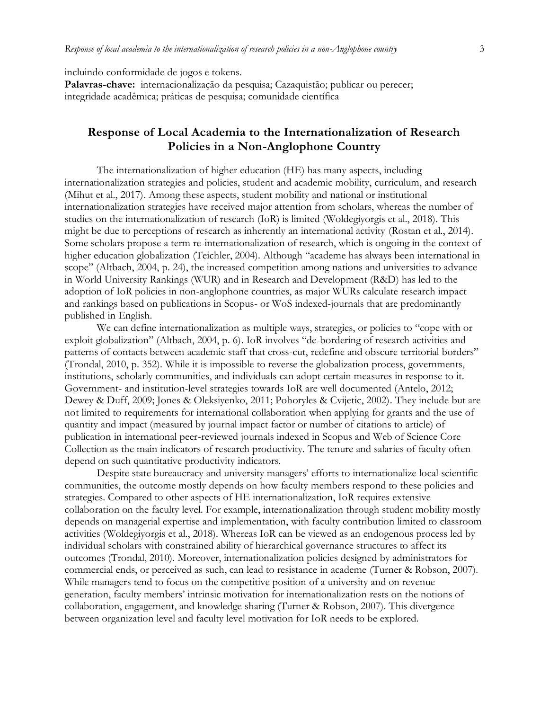incluindo conformidade de jogos e tokens.

**Palavras-chave:** internacionalização da pesquisa; Cazaquistão; publicar ou perecer; integridade acadêmica; práticas de pesquisa; comunidade científica

# **Response of Local Academia to the Internationalization of Research Policies in a Non-Anglophone Country**

The internationalization of higher education (HE) has many aspects, including internationalization strategies and policies, student and academic mobility, curriculum, and research (Mihut et al., 2017). Among these aspects, student mobility and national or institutional internationalization strategies have received major attention from scholars, whereas the number of studies on the internationalization of research (IoR) is limited (Woldegiyorgis et al., 2018). This might be due to perceptions of research as inherently an international activity (Rostan et al., 2014). Some scholars propose a term re-internationalization of research, which is ongoing in the context of higher education globalization (Teichler, 2004). Although "academe has always been international in scope" (Altbach, 2004, p. 24), the increased competition among nations and universities to advance in World University Rankings (WUR) and in Research and Development (R&D) has led to the adoption of IoR policies in non-anglophone countries, as major WURs calculate research impact and rankings based on publications in Scopus- or WoS indexed-journals that are predominantly published in English.

We can define internationalization as multiple ways, strategies, or policies to "cope with or exploit globalization" (Altbach, 2004, p. 6). IoR involves "de-bordering of research activities and patterns of contacts between academic staff that cross-cut, redefine and obscure territorial borders" (Trondal, 2010, p. 352). While it is impossible to reverse the globalization process, governments, institutions, scholarly communities, and individuals can adopt certain measures in response to it. Government- and institution-level strategies towards IoR are well documented (Antelo, 2012; Dewey & Duff, 2009; Jones & Oleksiyenko, 2011; Pohoryles & Cvijetic, 2002). They include but are not limited to requirements for international collaboration when applying for grants and the use of quantity and impact (measured by journal impact factor or number of citations to article) of publication in international peer-reviewed journals indexed in Scopus and Web of Science Core Collection as the main indicators of research productivity. The tenure and salaries of faculty often depend on such quantitative productivity indicators.

Despite state bureaucracy and university managers' efforts to internationalize local scientific communities, the outcome mostly depends on how faculty members respond to these policies and strategies. Compared to other aspects of HE internationalization, IoR requires extensive collaboration on the faculty level. For example, internationalization through student mobility mostly depends on managerial expertise and implementation, with faculty contribution limited to classroom activities (Woldegiyorgis et al., 2018). Whereas IoR can be viewed as an endogenous process led by individual scholars with constrained ability of hierarchical governance structures to affect its outcomes (Trondal, 2010). Moreover, internationalization policies designed by administrators for commercial ends, or perceived as such, can lead to resistance in academe (Turner & Robson, 2007). While managers tend to focus on the competitive position of a university and on revenue generation, faculty members' intrinsic motivation for internationalization rests on the notions of collaboration, engagement, and knowledge sharing (Turner & Robson, 2007). This divergence between organization level and faculty level motivation for IoR needs to be explored.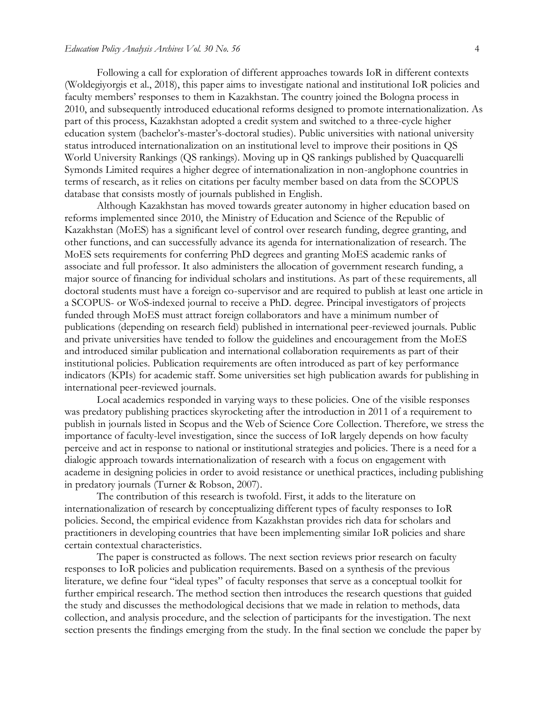Following a call for exploration of different approaches towards IoR in different contexts (Woldegiyorgis et al., 2018), this paper aims to investigate national and institutional IoR policies and faculty members' responses to them in Kazakhstan. The country joined the Bologna process in 2010, and subsequently introduced educational reforms designed to promote internationalization. As part of this process, Kazakhstan adopted a credit system and switched to a three-cycle higher education system (bachelor's-master's-doctoral studies). Public universities with national university status introduced internationalization on an institutional level to improve their positions in QS World University Rankings (QS rankings). Moving up in QS rankings published by Quacquarelli Symonds Limited requires a higher degree of internationalization in non-anglophone countries in terms of research, as it relies on citations per faculty member based on data from the SCOPUS database that consists mostly of journals published in English.

Although Kazakhstan has moved towards greater autonomy in higher education based on reforms implemented since 2010, the Ministry of Education and Science of the Republic of Kazakhstan (MoES) has a significant level of control over research funding, degree granting, and other functions, and can successfully advance its agenda for internationalization of research. The MoES sets requirements for conferring PhD degrees and granting MoES academic ranks of associate and full professor. It also administers the allocation of government research funding, a major source of financing for individual scholars and institutions. As part of these requirements, all doctoral students must have a foreign co-supervisor and are required to publish at least one article in a SCOPUS- or WoS-indexed journal to receive a PhD. degree. Principal investigators of projects funded through MoES must attract foreign collaborators and have a minimum number of publications (depending on research field) published in international peer-reviewed journals. Public and private universities have tended to follow the guidelines and encouragement from the MoES and introduced similar publication and international collaboration requirements as part of their institutional policies. Publication requirements are often introduced as part of key performance indicators (KPIs) for academic staff. Some universities set high publication awards for publishing in international peer-reviewed journals.

Local academics responded in varying ways to these policies. One of the visible responses was predatory publishing practices skyrocketing after the introduction in 2011 of a requirement to publish in journals listed in Scopus and the Web of Science Core Collection. Therefore, we stress the importance of faculty-level investigation, since the success of IoR largely depends on how faculty perceive and act in response to national or institutional strategies and policies. There is a need for a dialogic approach towards internationalization of research with a focus on engagement with academe in designing policies in order to avoid resistance or unethical practices, including publishing in predatory journals [\(Turner & Robson, 2007\).](https://paperpile.com/c/G6NkY6/gxcSR)

The contribution of this research is twofold. First, it adds to the literature on internationalization of research by conceptualizing different types of faculty responses to IoR policies. Second, the empirical evidence from Kazakhstan provides rich data for scholars and practitioners in developing countries that have been implementing similar IoR policies and share certain contextual characteristics.

The paper is constructed as follows. The next section reviews prior research on faculty responses to IoR policies and publication requirements. Based on a synthesis of the previous literature, we define four "ideal types" of faculty responses that serve as a conceptual toolkit for further empirical research. The method section then introduces the research questions that guided the study and discusses the methodological decisions that we made in relation to methods, data collection, and analysis procedure, and the selection of participants for the investigation. The next section presents the findings emerging from the study. In the final section we conclude the paper by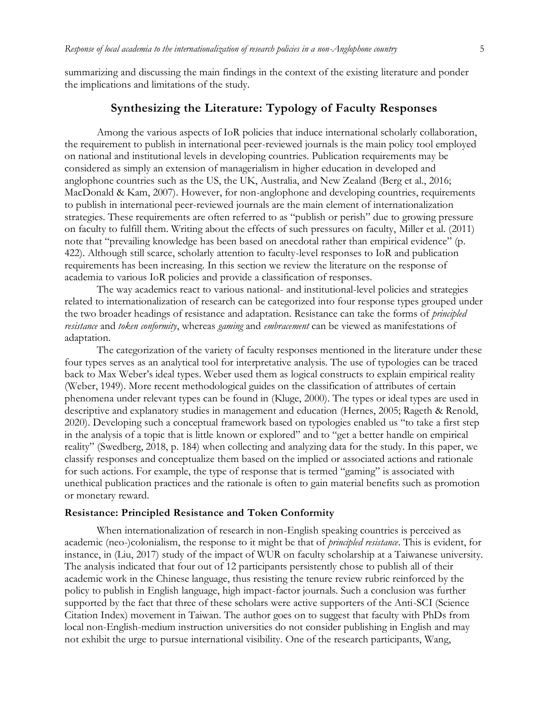summarizing and discussing the main findings in the context of the existing literature and ponder the implications and limitations of the study.

# **Synthesizing the Literature: Typology of Faculty Responses**

Among the various aspects of IoR policies that induce international scholarly collaboration, the requirement to publish in international peer-reviewed journals is the main policy tool employed on national and institutional levels in developing countries. Publication requirements may be considered as simply an extension of managerialism in higher education in developed and anglophone countries such as the US, the UK, Australia, and New Zealand (Berg et al., 2016; MacDonald & Kam, 2007). However, for non-anglophone and developing countries, requirements to publish in international peer-reviewed journals are the main element of internationalization strategies. These requirements are often referred to as "publish or perish" due to growing pressure on faculty to fulfill them. Writing about the effects of such pressures on faculty, Miller et al. (2011) note that "prevailing knowledge has been based on anecdotal rather than empirical evidence" (p. 422). Although still scarce, scholarly attention to faculty-level responses to IoR and publication requirements has been increasing. In this section we review the literature on the response of academia to various IoR policies and provide a classification of responses.

The way academics react to various national- and institutional-level policies and strategies related to internationalization of research can be categorized into four response types grouped under the two broader headings of resistance and adaptation. Resistance can take the forms of *principled resistance* and *token conformity*, whereas *gaming* and *embracement* can be viewed as manifestations of adaptation.

The categorization of the variety of faculty responses mentioned in the literature under these four types serves as an analytical tool for interpretative analysis. The use of typologies can be traced back to Max Weber's ideal types. Weber used them as logical constructs to explain empirical reality (Weber, 1949). More recent methodological guides on the classification of attributes of certain phenomena under relevant types can be found in (Kluge, 2000). The types or ideal types are used in descriptive and explanatory studies in management and education (Hernes, 2005; Rageth & Renold, 2020). Developing such a conceptual framework based on typologies enabled us "to take a first step in the analysis of a topic that is little known or explored" and to "get a better handle on empirical reality" (Swedberg, 2018, p. 184) when collecting and analyzing data for the study. In this paper, we classify responses and conceptualize them based on the implied or associated actions and rationale for such actions. For example, the type of response that is termed "gaming" is associated with unethical publication practices and the rationale is often to gain material benefits such as promotion or monetary reward.

#### **Resistance: Principled Resistance and Token Conformity**

When internationalization of research in non-English speaking countries is perceived as academic (neo-)colonialism, the response to it might be that of *principled resistance*. This is evident, for instance, in (Liu, 2017) study of the impact of WUR on faculty scholarship at a Taiwanese university. The analysis indicated that four out of 12 participants persistently chose to publish all of their academic work in the Chinese language, thus resisting the tenure review rubric reinforced by the policy to publish in English language, high impact-factor journals. Such a conclusion was further supported by the fact that three of these scholars were active supporters of the Anti-SCI (Science Citation Index) movement in Taiwan. The author goes on to suggest that faculty with PhDs from local non-English-medium instruction universities do not consider publishing in English and may not exhibit the urge to pursue international visibility. One of the research participants, Wang,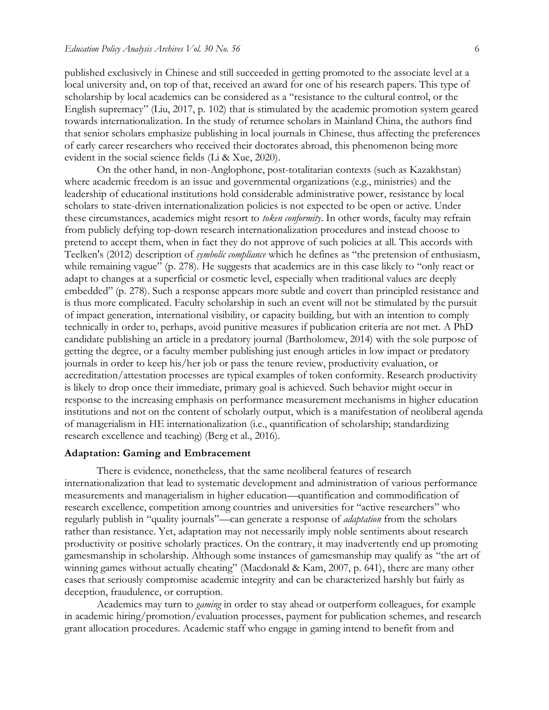published exclusively in Chinese and still succeeded in getting promoted to the associate level at a local university and, on top of that, received an award for one of his research papers. This type of scholarship by local academics can be considered as a "resistance to the cultural control, or the English supremacy" (Liu, 2017, p. 102) that is stimulated by the academic promotion system geared towards internationalization. In the study of returnee scholars in Mainland China, the authors find that senior scholars emphasize publishing in local journals in Chinese, thus affecting the preferences of early career researchers who received their doctorates abroad, this phenomenon being more evident in the social science fields (Li & Xue, 2020).

On the other hand, in non-Anglophone, post-totalitarian contexts (such as Kazakhstan) where academic freedom is an issue and governmental organizations (e.g., ministries) and the leadership of educational institutions hold considerable administrative power, resistance by local scholars to state-driven internationalization policies is not expected to be open or active. Under these circumstances, academics might resort to *token conformity*. In other words, faculty may refrain from publicly defying top-down research internationalization procedures and instead choose to pretend to accept them, when in fact they do not approve of such policies at all. This accords with Teelken's (2012) description of *symbolic compliance* which he defines as "the pretension of enthusiasm, while remaining vague" (p. 278). He suggests that academics are in this case likely to "only react or adapt to changes at a superficial or cosmetic level, especially when traditional values are deeply embedded" (p. 278). Such a response appears more subtle and covert than principled resistance and is thus more complicated. Faculty scholarship in such an event will not be stimulated by the pursuit of impact generation, international visibility, or capacity building, but with an intention to comply technically in order to, perhaps, avoid punitive measures if publication criteria are not met. A PhD candidate publishing an article in a predatory journal (Bartholomew, 2014) with the sole purpose of getting the degree, or a faculty member publishing just enough articles in low impact or predatory journals in order to keep his/her job or pass the tenure review, productivity evaluation, or accreditation/attestation processes are typical examples of token conformity. Research productivity is likely to drop once their immediate, primary goal is achieved. Such behavior might occur in response to the increasing emphasis on performance measurement mechanisms in higher education institutions and not on the content of scholarly output, which is a manifestation of neoliberal agenda of managerialism in HE internationalization (i.e., quantification of scholarship; standardizing research excellence and teaching) (Berg et al., 2016).

#### **Adaptation: Gaming and Embracement**

There is evidence, nonetheless, that the same neoliberal features of research internationalization that lead to systematic development and administration of various performance measurements and managerialism in higher education—quantification and commodification of research excellence, competition among countries and universities for "active researchers" who regularly publish in "quality journals"—can generate a response of *adaptation* from the scholars rather than resistance. Yet, adaptation may not necessarily imply noble sentiments about research productivity or positive scholarly practices. On the contrary, it may inadvertently end up promoting gamesmanship in scholarship. Although some instances of gamesmanship may qualify as "the art of winning games without actually cheating" [\(Macdonald & Kam, 2007, p. 641\),](https://paperpile.com/c/G6NkY6/IQEG/?locator=641) there are many other cases that seriously compromise academic integrity and can be characterized harshly but fairly as deception, fraudulence, or corruption.

Academics may turn to *gaming* in order to stay ahead or outperform colleagues, for example in academic hiring/promotion/evaluation processes, payment for publication schemes, and research grant allocation procedures. Academic staff who engage in gaming intend to benefit from and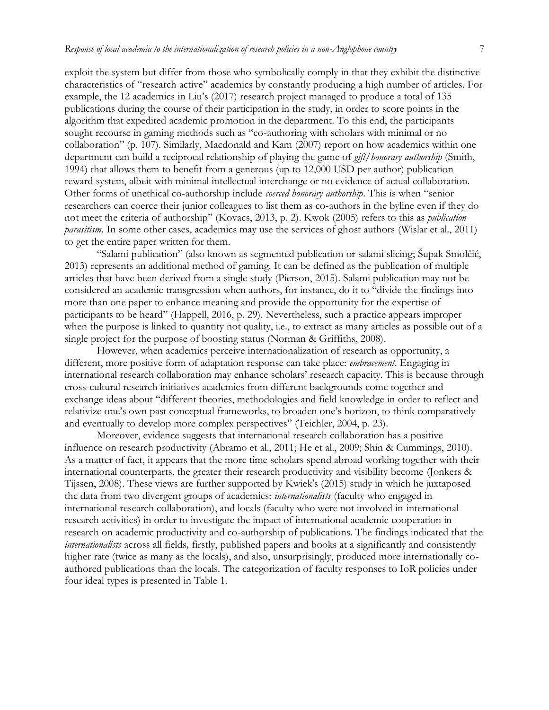exploit the system but differ from those who symbolically comply in that they exhibit the distinctive characteristics of "research active" academics by constantly producing a high number of articles. For example, the 12 academics in Liu's (2017) research project managed to produce a total of 135 publications during the course of their participation in the study, in order to score points in the algorithm that expedited academic promotion in the department. To this end, the participants sought recourse in gaming methods such as "co-authoring with scholars with minimal or no collaboration" (p. 107). Similarly, [Macdonald and Kam \(2007\)](https://paperpile.com/c/G6NkY6/IQEG) report on how academics within one department can build a reciprocal relationship of playing the game of *gift/honorary authorship* (Smith, 1994) that allows them to benefit from a generous (up to 12,000 USD per author) publication reward system, albeit with minimal intellectual interchange or no evidence of actual collaboration. Other forms of unethical co-authorship include *coerced honorary authorship*. This is when "senior researchers can coerce their junior colleagues to list them as co-authors in the byline even if they do not meet the criteria of authorship" (Kovacs, 2013, p. 2). Kwok (2005) refers to this as *publication parasitism*. In some other cases, academics may use the services of ghost authors (Wislar et al., 2011) to get the entire paper written for them.

"Salami publication" (also known as segmented publication or salami slicing; Šupak Smolčić, 2013) represents an additional method of gaming. It can be defined as the publication of multiple articles that have been derived from a single study (Pierson, 2015). Salami publication may not be considered an academic transgression when authors, for instance, do it to "divide the findings into more than one paper to enhance meaning and provide the opportunity for the expertise of participants to be heard" (Happell, 2016, p. 29). Nevertheless, such a practice appears improper when the purpose is linked to quantity not quality, i.e., to extract as many articles as possible out of a single project for the purpose of boosting status (Norman & Griffiths, 2008).

However, when academics perceive internationalization of research as opportunity, a different, more positive form of adaptation response can take place: *embracement*. Engaging in international research collaboration may enhance scholars' research capacity. This is because through cross-cultural research initiatives academics from different backgrounds come together and exchange ideas about "different theories, methodologies and field knowledge in order to reflect and relativize one's own past conceptual frameworks, to broaden one's horizon, to think comparatively and eventually to develop more complex perspectives" (Teichler, 2004, p. 23).

Moreover, evidence suggests that international research collaboration has a positive influence on research productivity (Abramo et al., 2011; He et al., 2009; Shin & Cummings, 2010). As a matter of fact, it appears that the more time scholars spend abroad working together with their international counterparts, the greater their research productivity and visibility become (Jonkers & Tijssen, 2008). These views are further supported by Kwiek's (2015) study in which he juxtaposed the data from two divergent groups of academics: *internationalists* (faculty who engaged in international research collaboration), and locals (faculty who were not involved in international research activities) in order to investigate the impact of international academic cooperation in research on academic productivity and co-authorship of publications. The findings indicated that the *internationalists* across all fields*,* firstly, published papers and books at a significantly and consistently higher rate (twice as many as the locals), and also, unsurprisingly, produced more internationally coauthored publications than the locals. The categorization of faculty responses to IoR policies under four ideal types is presented in Table 1.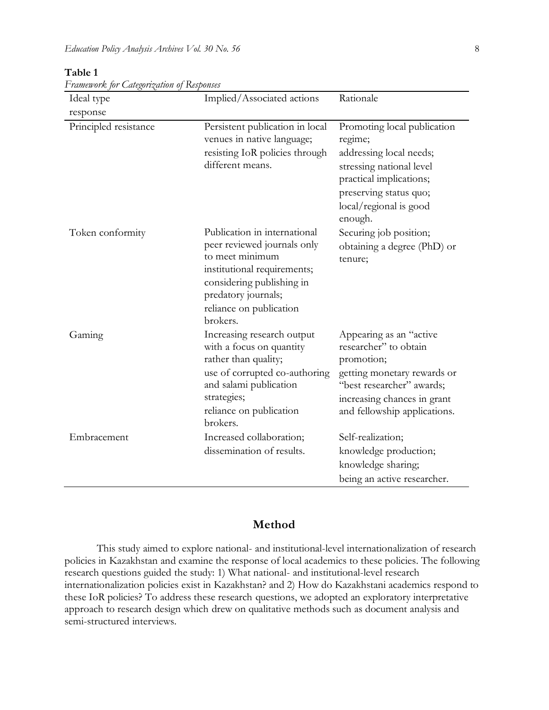| r rumoworks for Suvezorezuwon of Exesponses<br>Ideal type | Implied/Associated actions                                                                                                                                                                               | Rationale                                                                                                                                                                                 |
|-----------------------------------------------------------|----------------------------------------------------------------------------------------------------------------------------------------------------------------------------------------------------------|-------------------------------------------------------------------------------------------------------------------------------------------------------------------------------------------|
| response                                                  |                                                                                                                                                                                                          |                                                                                                                                                                                           |
| Principled resistance                                     | Persistent publication in local<br>venues in native language;<br>resisting IoR policies through<br>different means.                                                                                      | Promoting local publication<br>regime;<br>addressing local needs;<br>stressing national level<br>practical implications;<br>preserving status quo;<br>local/regional is good<br>enough.   |
| Token conformity                                          | Publication in international<br>peer reviewed journals only<br>to meet minimum<br>institutional requirements;<br>considering publishing in<br>predatory journals;<br>reliance on publication<br>brokers. | Securing job position;<br>obtaining a degree (PhD) or<br>tenure;                                                                                                                          |
| Gaming                                                    | Increasing research output<br>with a focus on quantity<br>rather than quality;<br>use of corrupted co-authoring<br>and salami publication<br>strategies;<br>reliance on publication<br>brokers.          | Appearing as an "active<br>researcher" to obtain<br>promotion;<br>getting monetary rewards or<br>"best researcher" awards;<br>increasing chances in grant<br>and fellowship applications. |
| Embracement                                               | Increased collaboration;<br>dissemination of results.                                                                                                                                                    | Self-realization;<br>knowledge production;<br>knowledge sharing;<br>being an active researcher.                                                                                           |

#### **Table 1**

*Framework for Categorization of Responses*

### **Method**

This study aimed to explore national- and institutional-level internationalization of research policies in Kazakhstan and examine the response of local academics to these policies. The following research questions guided the study: 1) What national- and institutional-level research internationalization policies exist in Kazakhstan? and 2) How do Kazakhstani academics respond to these IoR policies? To address these research questions, we adopted an exploratory interpretative approach to research design which drew on qualitative methods such as document analysis and semi-structured interviews.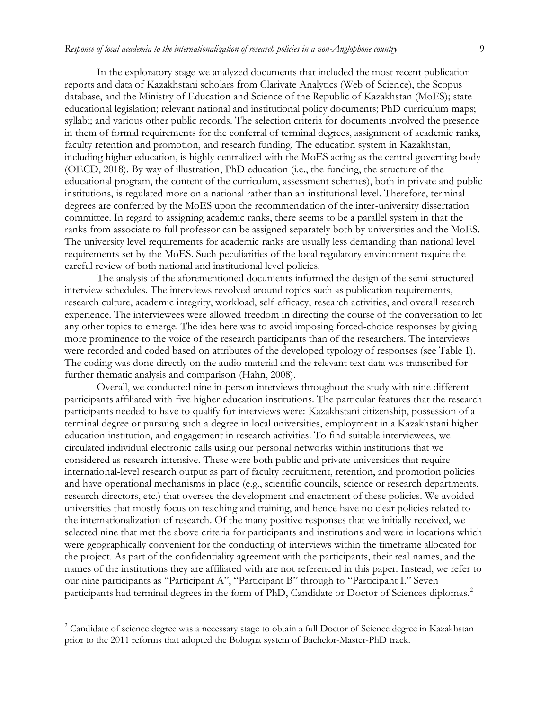In the exploratory stage we analyzed documents that included the most recent publication reports and data of Kazakhstani scholars from Clarivate Analytics (Web of Science), the Scopus database, and the Ministry of Education and Science of the Republic of Kazakhstan (MoES); state educational legislation; relevant national and institutional policy documents; PhD curriculum maps; syllabi; and various other public records. The selection criteria for documents involved the presence in them of formal requirements for the conferral of terminal degrees, assignment of academic ranks, faculty retention and promotion, and research funding. The education system in Kazakhstan, including higher education, is highly centralized with the MoES acting as the central governing body (OECD, 2018). By way of illustration, PhD education (i.e., the funding, the structure of the educational program, the content of the curriculum, assessment schemes), both in private and public institutions, is regulated more on a national rather than an institutional level. Therefore, terminal degrees are conferred by the MoES upon the recommendation of the inter-university dissertation committee. In regard to assigning academic ranks, there seems to be a parallel system in that the ranks from associate to full professor can be assigned separately both by universities and the MoES. The university level requirements for academic ranks are usually less demanding than national level requirements set by the MoES. Such peculiarities of the local regulatory environment require the careful review of both national and institutional level policies.

The analysis of the aforementioned documents informed the design of the semi-structured interview schedules. The interviews revolved around topics such as publication requirements, research culture, academic integrity, workload, self-efficacy, research activities, and overall research experience. The interviewees were allowed freedom in directing the course of the conversation to let any other topics to emerge. The idea here was to avoid imposing forced-choice responses by giving more prominence to the voice of the research participants than of the researchers. The interviews were recorded and coded based on attributes of the developed typology of responses (see Table 1). The coding was done directly on the audio material and the relevant text data was transcribed for further thematic analysis and comparison (Hahn, 2008).

Overall, we conducted nine in-person interviews throughout the study with nine different participants affiliated with five higher education institutions. The particular features that the research participants needed to have to qualify for interviews were: Kazakhstani citizenship, possession of a terminal degree or pursuing such a degree in local universities, employment in a Kazakhstani higher education institution, and engagement in research activities. To find suitable interviewees, we circulated individual electronic calls using our personal networks within institutions that we considered as research-intensive. These were both public and private universities that require international-level research output as part of faculty recruitment, retention, and promotion policies and have operational mechanisms in place (e.g., scientific councils, science or research departments, research directors, etc.) that oversee the development and enactment of these policies. We avoided universities that mostly focus on teaching and training, and hence have no clear policies related to the internationalization of research. Of the many positive responses that we initially received, we selected nine that met the above criteria for participants and institutions and were in locations which were geographically convenient for the conducting of interviews within the timeframe allocated for the project. As part of the confidentiality agreement with the participants, their real names, and the names of the institutions they are affiliated with are not referenced in this paper. Instead, we refer to our nine participants as "Participant A", "Participant B" through to "Participant I." Seven participants had terminal degrees in the form of PhD, Candidate or Doctor of Sciences diplomas.<sup>2</sup>

 $\overline{\phantom{a}}$ 

<sup>&</sup>lt;sup>2</sup> Candidate of science degree was a necessary stage to obtain a full Doctor of Science degree in Kazakhstan prior to the 2011 reforms that adopted the Bologna system of Bachelor-Master-PhD track.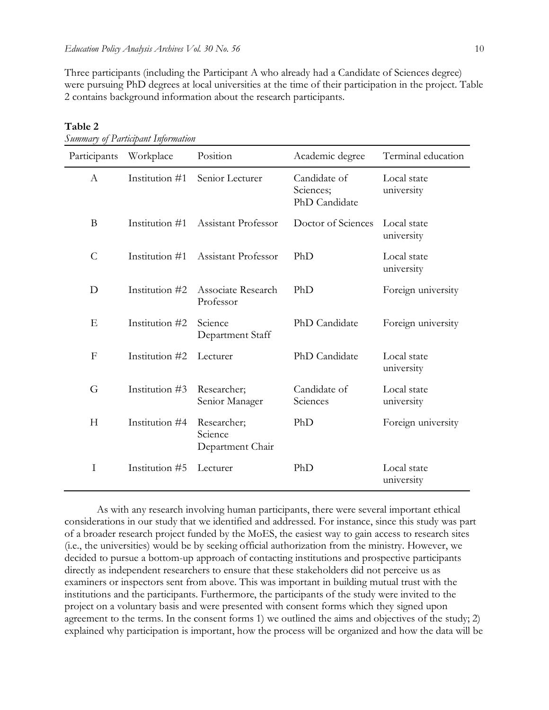Three participants (including the Participant A who already had a Candidate of Sciences degree) were pursuing PhD degrees at local universities at the time of their participation in the project. Table 2 contains background information about the research participants.

| Participants   | Workplace      | Position                                   | Academic degree                            | Terminal education        |
|----------------|----------------|--------------------------------------------|--------------------------------------------|---------------------------|
| A              | Institution #1 | Senior Lecturer                            | Candidate of<br>Sciences;<br>PhD Candidate | Local state<br>university |
| B              | Institution #1 | Assistant Professor                        | Doctor of Sciences                         | Local state<br>university |
| $\overline{C}$ | Institution #1 | Assistant Professor                        | PhD                                        | Local state<br>university |
| D              | Institution #2 | Associate Research<br>Professor            | PhD                                        | Foreign university        |
| E              | Institution #2 | Science<br>Department Staff                | PhD Candidate                              | Foreign university        |
| $\mathbf{F}$   | Institution #2 | Lecturer                                   | PhD Candidate                              | Local state<br>university |
| G              | Institution #3 | Researcher;<br>Senior Manager              | Candidate of<br>Sciences                   | Local state<br>university |
| H              | Institution #4 | Researcher;<br>Science<br>Department Chair | PhD                                        | Foreign university        |
| I              | Institution #5 | Lecturer                                   | PhD                                        | Local state<br>university |

**Table 2**

As with any research involving human participants, there were several important ethical considerations in our study that we identified and addressed. For instance, since this study was part of a broader research project funded by the MoES, the easiest way to gain access to research sites (i.e., the universities) would be by seeking official authorization from the ministry. However, we decided to pursue a bottom-up approach of contacting institutions and prospective participants directly as independent researchers to ensure that these stakeholders did not perceive us as examiners or inspectors sent from above. This was important in building mutual trust with the institutions and the participants. Furthermore, the participants of the study were invited to the project on a voluntary basis and were presented with consent forms which they signed upon agreement to the terms. In the consent forms 1) we outlined the aims and objectives of the study; 2) explained why participation is important, how the process will be organized and how the data will be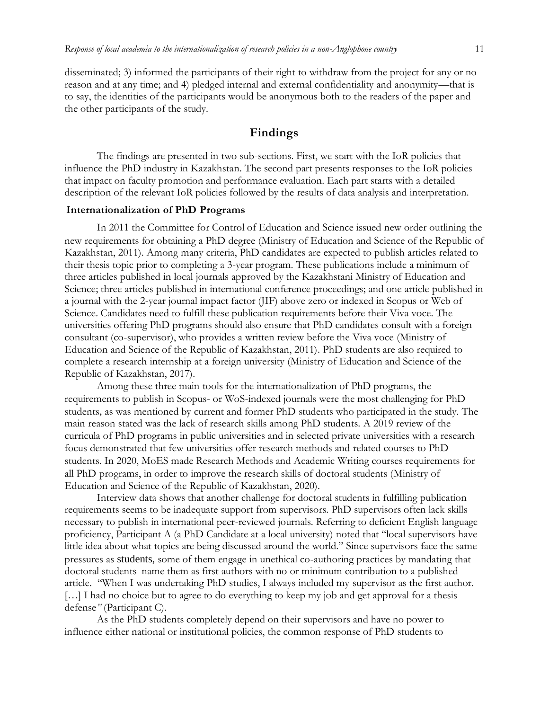disseminated; 3) informed the participants of their right to withdraw from the project for any or no reason and at any time; and 4) pledged internal and external confidentiality and anonymity—that is to say, the identities of the participants would be anonymous both to the readers of the paper and the other participants of the study.

### **Findings**

The findings are presented in two sub-sections. First, we start with the IoR policies that influence the PhD industry in Kazakhstan. The second part presents responses to the IoR policies that impact on faculty promotion and performance evaluation. Each part starts with a detailed description of the relevant IoR policies followed by the results of data analysis and interpretation.

#### **Internationalization of PhD Programs**

In 2011 the Committee for Control of Education and Science issued new order outlining the new requirements for obtaining a PhD degree (Ministry of Education and Science of the Republic of Kazakhstan, 2011). Among many criteria, PhD candidates are expected to publish articles related to their thesis topic prior to completing a 3-year program. These publications include a minimum of three articles published in local journals approved by the Kazakhstani Ministry of Education and Science; three articles published in international conference proceedings; and one article published in a journal with the 2-year journal impact factor (JIF) above zero or indexed in Scopus or Web of Science. Candidates need to fulfill these publication requirements before their Viva voce. The universities offering PhD programs should also ensure that PhD candidates consult with a foreign consultant (co-supervisor), who provides a written review before the Viva voce (Ministry of Education and Science of the Republic of Kazakhstan, 2011). PhD students are also required to complete a research internship at a foreign university (Ministry of Education and Science of the Republic of Kazakhstan, 2017).

Among these three main tools for the internationalization of PhD programs, the requirements to publish in Scopus- or WoS-indexed journals were the most challenging for PhD students, as was mentioned by current and former PhD students who participated in the study. The main reason stated was the lack of research skills among PhD students. A 2019 review of the curricula of PhD programs in public universities and in selected private universities with a research focus demonstrated that few universities offer research methods and related courses to PhD students. In 2020, MoES made Research Methods and Academic Writing courses requirements for all PhD programs, in order to improve the research skills of doctoral students (Ministry of Education and Science of the Republic of Kazakhstan, 2020).

Interview data shows that another challenge for doctoral students in fulfilling publication requirements seems to be inadequate support from supervisors. PhD supervisors often lack skills necessary to publish in international peer-reviewed journals. Referring to deficient English language proficiency, Participant A (a PhD Candidate at a local university) noted that "local supervisors have little idea about what topics are being discussed around the world." Since supervisors face the same pressures as students, some of them engage in unethical co-authoring practices by mandating that doctoral students name them as first authors with no or minimum contribution to a published article. "When I was undertaking PhD studies, I always included my supervisor as the first author. [...] I had no choice but to agree to do everything to keep my job and get approval for a thesis defense*"* (Participant C).

As the PhD students completely depend on their supervisors and have no power to influence either national or institutional policies, the common response of PhD students to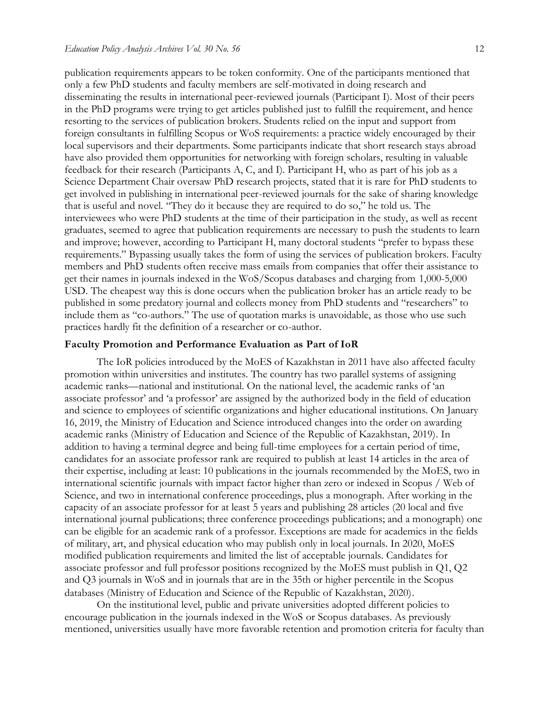publication requirements appears to be token conformity. One of the participants mentioned that only a few PhD students and faculty members are self-motivated in doing research and disseminating the results in international peer-reviewed journals (Participant I). Most of their peers in the PhD programs were trying to get articles published just to fulfill the requirement, and hence resorting to the services of publication brokers. Students relied on the input and support from foreign consultants in fulfilling Scopus or WoS requirements: a practice widely encouraged by their local supervisors and their departments. Some participants indicate that short research stays abroad have also provided them opportunities for networking with foreign scholars, resulting in valuable feedback for their research (Participants A, C, and I). Participant H, who as part of his job as a Science Department Chair oversaw PhD research projects, stated that it is rare for PhD students to get involved in publishing in international peer-reviewed journals for the sake of sharing knowledge that is useful and novel. "They do it because they are required to do so," he told us. The interviewees who were PhD students at the time of their participation in the study, as well as recent graduates, seemed to agree that publication requirements are necessary to push the students to learn and improve; however, according to Participant H, many doctoral students "prefer to bypass these requirements." Bypassing usually takes the form of using the services of publication brokers. Faculty members and PhD students often receive mass emails from companies that offer their assistance to get their names in journals indexed in the WoS/Scopus databases and charging from 1,000-5,000 USD. The cheapest way this is done occurs when the publication broker has an article ready to be published in some predatory journal and collects money from PhD students and "researchers" to include them as "co-authors." The use of quotation marks is unavoidable, as those who use such practices hardly fit the definition of a researcher or co-author.

#### **Faculty Promotion and Performance Evaluation as Part of IoR**

The IoR policies introduced by the MoES of Kazakhstan in 2011 have also affected faculty promotion within universities and institutes. The country has two parallel systems of assigning academic ranks—national and institutional. On the national level, the academic ranks of 'an associate professor' and 'a professor' are assigned by the authorized body in the field of education and science to employees of scientific organizations and higher educational institutions. On January 16, 2019, the Ministry of Education and Science introduced changes into the order on awarding academic ranks (Ministry of Education and Science of the Republic of Kazakhstan, 2019). In addition to having a terminal degree and being full-time employees for a certain period of time, candidates for an associate professor rank are required to publish at least 14 articles in the area of their expertise, including at least: 10 publications in the journals recommended by the MoES, two in international scientific journals with impact factor higher than zero or indexed in Scopus / Web of Science, and two in international conference proceedings, plus a monograph. After working in the capacity of an associate professor for at least 5 years and publishing 28 articles (20 local and five international journal publications; three conference proceedings publications; and a monograph) one can be eligible for an academic rank of a professor. Exceptions are made for academics in the fields of military, art, and physical education who may publish only in local journals. In 2020, MoES modified publication requirements and limited the list of acceptable journals. Candidates for associate professor and full professor positions recognized by the MoES must publish in Q1, Q2 and Q3 journals in WoS and in journals that are in the 35th or higher percentile in the Scopus databases (Ministry of Education and Science of the Republic of Kazakhstan, 2020).

On the institutional level, public and private universities adopted different policies to encourage publication in the journals indexed in the WoS or Scopus databases. As previously mentioned, universities usually have more favorable retention and promotion criteria for faculty than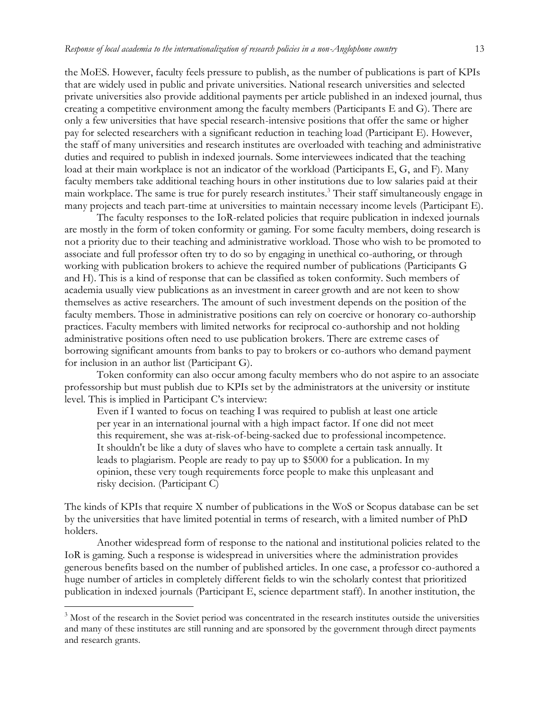the MoES. However, faculty feels pressure to publish, as the number of publications is part of KPIs that are widely used in public and private universities. National research universities and selected private universities also provide additional payments per article published in an indexed journal, thus creating a competitive environment among the faculty members (Participants E and G). There are only a few universities that have special research-intensive positions that offer the same or higher pay for selected researchers with a significant reduction in teaching load (Participant E). However, the staff of many universities and research institutes are overloaded with teaching and administrative duties and required to publish in indexed journals. Some interviewees indicated that the teaching load at their main workplace is not an indicator of the workload (Participants E, G, and F). Many faculty members take additional teaching hours in other institutions due to low salaries paid at their main workplace. The same is true for purely research institutes.<sup>3</sup> Their staff simultaneously engage in many projects and teach part-time at universities to maintain necessary income levels (Participant E).

The faculty responses to the IoR-related policies that require publication in indexed journals are mostly in the form of token conformity or gaming. For some faculty members, doing research is not a priority due to their teaching and administrative workload. Those who wish to be promoted to associate and full professor often try to do so by engaging in unethical co-authoring, or through working with publication brokers to achieve the required number of publications (Participants G and H). This is a kind of response that can be classified as token conformity. Such members of academia usually view publications as an investment in career growth and are not keen to show themselves as active researchers. The amount of such investment depends on the position of the faculty members. Those in administrative positions can rely on coercive or honorary co-authorship practices. Faculty members with limited networks for reciprocal co-authorship and not holding administrative positions often need to use publication brokers. There are extreme cases of borrowing significant amounts from banks to pay to brokers or co-authors who demand payment for inclusion in an author list (Participant G).

Token conformity can also occur among faculty members who do not aspire to an associate professorship but must publish due to KPIs set by the administrators at the university or institute level. This is implied in Participant C's interview:

Even if I wanted to focus on teaching I was required to publish at least one article per year in an international journal with a high impact factor. If one did not meet this requirement, she was at-risk-of-being-sacked due to professional incompetence. It shouldn't be like a duty of slaves who have to complete a certain task annually. It leads to plagiarism. People are ready to pay up to \$5000 for a publication. In my opinion, these very tough requirements force people to make this unpleasant and risky decision. (Participant C)

The kinds of KPIs that require X number of publications in the WoS or Scopus database can be set by the universities that have limited potential in terms of research, with a limited number of PhD holders.

Another widespread form of response to the national and institutional policies related to the IoR is gaming. Such a response is widespread in universities where the administration provides generous benefits based on the number of published articles. In one case, a professor co-authored a huge number of articles in completely different fields to win the scholarly contest that prioritized publication in indexed journals (Participant E, science department staff). In another institution, the

l

<sup>&</sup>lt;sup>3</sup> Most of the research in the Soviet period was concentrated in the research institutes outside the universities and many of these institutes are still running and are sponsored by the government through direct payments and research grants.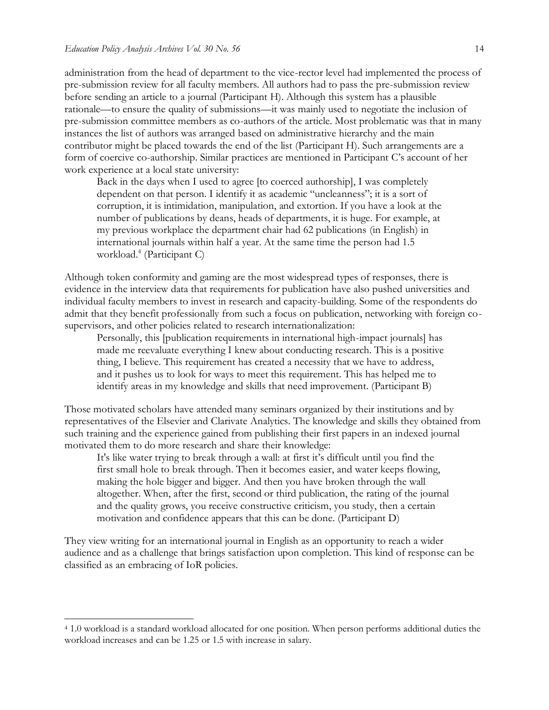l

administration from the head of department to the vice-rector level had implemented the process of pre-submission review for all faculty members. All authors had to pass the pre-submission review before sending an article to a journal (Participant H). Although this system has a plausible rationale—to ensure the quality of submissions—it was mainly used to negotiate the inclusion of pre-submission committee members as co-authors of the article. Most problematic was that in many instances the list of authors was arranged based on administrative hierarchy and the main contributor might be placed towards the end of the list (Participant H). Such arrangements are a form of coercive co-authorship. Similar practices are mentioned in Participant C's account of her work experience at a local state university:

Back in the days when I used to agree [to coerced authorship], I was completely dependent on that person. I identify it as academic "uncleanness"; it is a sort of corruption, it is intimidation, manipulation, and extortion. If you have a look at the number of publications by deans, heads of departments, it is huge. For example, at my previous workplace the department chair had 62 publications (in English) in international journals within half a year. At the same time the person had 1.5 workload.<sup>4</sup> (Participant C)

Although token conformity and gaming are the most widespread types of responses, there is evidence in the interview data that requirements for publication have also pushed universities and individual faculty members to invest in research and capacity-building. Some of the respondents do admit that they benefit professionally from such a focus on publication, networking with foreign cosupervisors, and other policies related to research internationalization:

Personally, this [publication requirements in international high-impact journals] has made me reevaluate everything I knew about conducting research. This is a positive thing, I believe. This requirement has created a necessity that we have to address, and it pushes us to look for ways to meet this requirement. This has helped me to identify areas in my knowledge and skills that need improvement. (Participant B)

Those motivated scholars have attended many seminars organized by their institutions and by representatives of the Elsevier and Clarivate Analytics. The knowledge and skills they obtained from such training and the experience gained from publishing their first papers in an indexed journal motivated them to do more research and share their knowledge:

It's like water trying to break through a wall: at first it's difficult until you find the first small hole to break through. Then it becomes easier, and water keeps flowing, making the hole bigger and bigger. And then you have broken through the wall altogether. When, after the first, second or third publication, the rating of the journal and the quality grows, you receive constructive criticism, you study, then a certain motivation and confidence appears that this can be done. (Participant D)

They view writing for an international journal in English as an opportunity to reach a wider audience and as a challenge that brings satisfaction upon completion. This kind of response can be classified as an embracing of IoR policies.

<sup>4</sup> 1.0 workload is a standard workload allocated for one position. When person performs additional duties the workload increases and can be 1.25 or 1.5 with increase in salary.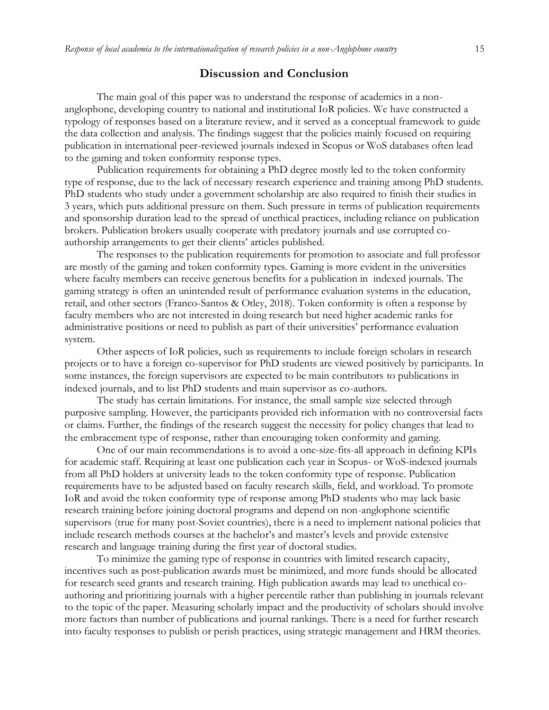### **Discussion and Conclusion**

The main goal of this paper was to understand the response of academics in a nonanglophone, developing country to national and institutional IoR policies. We have constructed a typology of responses based on a literature review, and it served as a conceptual framework to guide the data collection and analysis. The findings suggest that the policies mainly focused on requiring publication in international peer-reviewed journals indexed in Scopus or WoS databases often lead to the gaming and token conformity response types.

Publication requirements for obtaining a PhD degree mostly led to the token conformity type of response, due to the lack of necessary research experience and training among PhD students. PhD students who study under a government scholarship are also required to finish their studies in 3 years, which puts additional pressure on them. Such pressure in terms of publication requirements and sponsorship duration lead to the spread of unethical practices, including reliance on publication brokers. Publication brokers usually cooperate with predatory journals and use corrupted coauthorship arrangements to get their clients' articles published.

The responses to the publication requirements for promotion to associate and full professor are mostly of the gaming and token conformity types. Gaming is more evident in the universities where faculty members can receive generous benefits for a publication in indexed journals. The gaming strategy is often an unintended result of performance evaluation systems in the education, retail, and other sectors (Franco-Santos & Otley, 2018). Token conformity is often a response by faculty members who are not interested in doing research but need higher academic ranks for administrative positions or need to publish as part of their universities' performance evaluation system.

Other aspects of IoR policies, such as requirements to include foreign scholars in research projects or to have a foreign co-supervisor for PhD students are viewed positively by participants. In some instances, the foreign supervisors are expected to be main contributors to publications in indexed journals, and to list PhD students and main supervisor as co-authors.

The study has certain limitations. For instance, the small sample size selected through purposive sampling. However, the participants provided rich information with no controversial facts or claims. Further, the findings of the research suggest the necessity for policy changes that lead to the embracement type of response, rather than encouraging token conformity and gaming.

One of our main recommendations is to avoid a one-size-fits-all approach in defining KPIs for academic staff. Requiring at least one publication each year in Scopus- or WoS-indexed journals from all PhD holders at university leads to the token conformity type of response. Publication requirements have to be adjusted based on faculty research skills, field, and workload. To promote IoR and avoid the token conformity type of response among PhD students who may lack basic research training before joining doctoral programs and depend on non-anglophone scientific supervisors (true for many post-Soviet countries), there is a need to implement national policies that include research methods courses at the bachelor's and master's levels and provide extensive research and language training during the first year of doctoral studies.

To minimize the gaming type of response in countries with limited research capacity, incentives such as post-publication awards must be minimized, and more funds should be allocated for research seed grants and research training. High publication awards may lead to unethical coauthoring and prioritizing journals with a higher percentile rather than publishing in journals relevant to the topic of the paper. Measuring scholarly impact and the productivity of scholars should involve more factors than number of publications and journal rankings. There is a need for further research into faculty responses to publish or perish practices, using strategic management and HRM theories.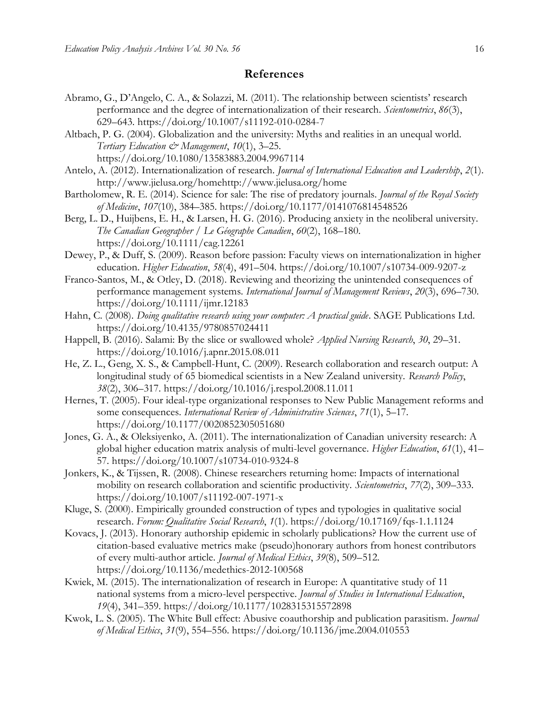# **References**

- Abramo, G., D'Angelo, C. A., & Solazzi, M. (2011). The relationship between scientists' research performance and the degree of internationalization of their research. *Scientometrics*, *86*(3), 629–643. <https://doi.org/10.1007/s11192-010-0284-7>
- Altbach, P. G. (2004). Globalization and the university: Myths and realities in an unequal world. *Tertiary Education & Management*, *10*(1), 3–25.
	- <https://doi.org/10.1080/13583883.2004.9967114>
- Antelo, A. (2012). Internationalization of research. *Journal of International Education and Leadership*, *2*(1). http://www.jielusa.org/homehttp://www.jielusa.org/home
- Bartholomew, R. E. (2014). Science for sale: The rise of predatory journals. *Journal of the Royal Society of Medicine*, *107*(10), 384–385.<https://doi.org/10.1177/0141076814548526>
- Berg, L. D., Huijbens, E. H., & Larsen, H. G. (2016). Producing anxiety in the neoliberal university. *The Canadian Geographer / Le Géographe Canadien*, *60*(2), 168–180. <https://doi.org/10.1111/cag.12261>
- Dewey, P., & Duff, S. (2009). Reason before passion: Faculty views on internationalization in higher education. *Higher Education*, *58*(4), 491–504.<https://doi.org/10.1007/s10734-009-9207-z>
- Franco-Santos, M., & Otley, D. (2018). Reviewing and theorizing the unintended consequences of performance management systems. *International Journal of Management Reviews*, *20*(3), 696–730. <https://doi.org/10.1111/ijmr.12183>
- Hahn, C. (2008). *Doing qualitative research using your computer: A practical guide*. SAGE Publications Ltd. <https://doi.org/10.4135/9780857024411>
- Happell, B. (2016). Salami: By the slice or swallowed whole? *Applied Nursing Research*, *30*, 29–31. <https://doi.org/10.1016/j.apnr.2015.08.011>
- He, Z. L., Geng, X. S., & Campbell-Hunt, C. (2009). Research collaboration and research output: A longitudinal study of 65 biomedical scientists in a New Zealand university. *Research Policy*, *38*(2), 306–317.<https://doi.org/10.1016/j.respol.2008.11.011>
- Hernes, T. (2005). Four ideal-type organizational responses to New Public Management reforms and some consequences. *International Review of Administrative Sciences*, *71*(1), 5–17. <https://doi.org/10.1177/0020852305051680>
- Jones, G. A., & Oleksiyenko, A. (2011). The internationalization of Canadian university research: A global higher education matrix analysis of multi-level governance. *Higher Education*, *61*(1), 41– 57.<https://doi.org/10.1007/s10734-010-9324-8>
- Jonkers, K., & Tijssen, R. (2008). Chinese researchers returning home: Impacts of international mobility on research collaboration and scientific productivity. *Scientometrics*, *77*(2), 309–333. <https://doi.org/10.1007/s11192-007-1971-x>
- Kluge, S. (2000). Empirically grounded construction of types and typologies in qualitative social research. *Forum: Qualitative Social Research*, *1*(1).<https://doi.org/10.17169/fqs-1.1.1124>
- Kovacs, J. (2013). Honorary authorship epidemic in scholarly publications? How the current use of citation-based evaluative metrics make (pseudo)honorary authors from honest contributors of every multi-author article. *Journal of Medical Ethics*, *39*(8), 509–512. <https://doi.org/10.1136/medethics-2012-100568>
- Kwiek, M. (2015). The internationalization of research in Europe: A quantitative study of 11 national systems from a micro-level perspective. *Journal of Studies in International Education*, *19*(4), 341–359.<https://doi.org/10.1177/1028315315572898>
- Kwok, L. S. (2005). The White Bull effect: Abusive coauthorship and publication parasitism. *Journal of Medical Ethics*, *31*(9), 554–556.<https://doi.org/10.1136/jme.2004.010553>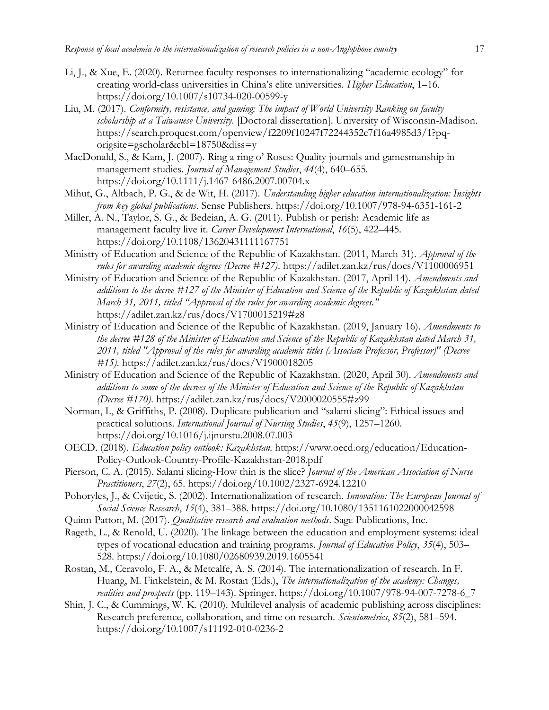- Li, J., & Xue, E. (2020). Returnee faculty responses to internationalizing "academic ecology" for creating world-class universities in China's elite universities. *Higher Education*, 1–16. <https://doi.org/10.1007/s10734-020-00599-y>
- Liu, M. (2017). *Conformity, resistance, and gaming: The impact of World University Ranking on faculty scholarship at a Taiwanese University.* [Doctoral dissertation]. University of Wisconsin-Madison. https://search.proquest.com/openview/f2209f10247f72244352c7f16a4985d3/1?pqorigsite=gscholar&cbl=18750&diss=y
- MacDonald, S., & Kam, J. (2007). Ring a ring o' Roses: Quality journals and gamesmanship in management studies. *Journal of Management Studies*, *44*(4), 640–655. <https://doi.org/10.1111/j.1467-6486.2007.00704.x>
- Mihut, G., Altbach, P. G., & de Wit, H. (2017). *Understanding higher education internationalization: Insights from key global publications*. Sense Publishers. <https://doi.org/10.1007/978-94-6351-161-2>
- Miller, A. N., Taylor, S. G., & Bedeian, A. G. (2011). Publish or perish: Academic life as management faculty live it. *Career Development International*, *16*(5), 422–445. <https://doi.org/10.1108/13620431111167751>
- Ministry of Education and Science of the Republic of Kazakhstan. (2011, March 31). *Approval of the rules for awarding academic degrees (Decree #127)*.<https://adilet.zan.kz/rus/docs/V1100006951>
- Ministry of Education and Science of the Republic of Kazakhstan. (2017, April 14). *Amendments and additions to the decree #127 of the Minister of Education and Science of the Republic of Kazakhstan dated March 31, 2011, titled "Approval of the rules for awarding academic degrees."* <https://adilet.zan.kz/rus/docs/V1700015219#z8>
- Ministry of Education and Science of the Republic of Kazakhstan. (2019, January 16). *Amendments to the decree #128 of the Minister of Education and Science of the Republic of Kazakhstan dated March 31, 2011, titled "Approval of the rules for awarding academic titles (Associate Professor, Professor)" (Decree #15)*.<https://adilet.zan.kz/rus/docs/V1900018205>
- Ministry of Education and Science of the Republic of Kazakhstan. (2020, April 30). *Amendments and additions to some of the decrees of the Minister of Education and Science of the Republic of Kazakhstan (Decree #170)*.<https://adilet.zan.kz/rus/docs/V2000020555#z99>
- Norman, I., & Griffiths, P. (2008). Duplicate publication and "salami slicing": Ethical issues and practical solutions. *International Journal of Nursing Studies*, *45*(9), 1257–1260. <https://doi.org/10.1016/j.ijnurstu.2008.07.003>
- OECD. (2018). *Education policy outlook: Kazakhstan.* [https://www.oecd.org/education/Education-](https://www.oecd.org/education/Education-Policy-Outlook-Country-Profile-Kazakhstan-2018.pdf)[Policy-Outlook-Country-Profile-Kazakhstan-2018.pdf](https://www.oecd.org/education/Education-Policy-Outlook-Country-Profile-Kazakhstan-2018.pdf)
- Pierson, C. A. (2015). Salami slicing-How thin is the slice? *Journal of the American Association of Nurse Practitioners*, *27*(2), 65.<https://doi.org/10.1002/2327-6924.12210>
- Pohoryles, J., & Cvijetic, S. (2002). Internationalization of research. *Innovation: The European Journal of Social Science Research*, *15*(4), 381–388.<https://doi.org/10.1080/1351161022000042598>
- Quinn Patton, M. (2017). *Qualitative research and evaluation methods*. Sage Publications, Inc.
- Rageth, L., & Renold, U. (2020). The linkage between the education and employment systems: ideal types of vocational education and training programs. *Journal of Education Policy*, *35*(4), 503– 528. <https://doi.org/10.1080/02680939.2019.1605541>
- Rostan, M., Ceravolo, F. A., & Metcalfe, A. S. (2014). The internationalization of research. In F. Huang, M. Finkelstein, & M. Rostan (Eds.), *The internationalization of the academy: Changes, realities and prospects* (pp. 119–143). Springer. [https://doi.org/10.1007/978-94-007-7278-6\\_7](https://doi.org/10.1007/978-94-007-7278-6_7)
- Shin, J. C., & Cummings, W. K. (2010). Multilevel analysis of academic publishing across disciplines: Research preference, collaboration, and time on research. *Scientometrics*, *85*(2), 581–594. <https://doi.org/10.1007/s11192-010-0236-2>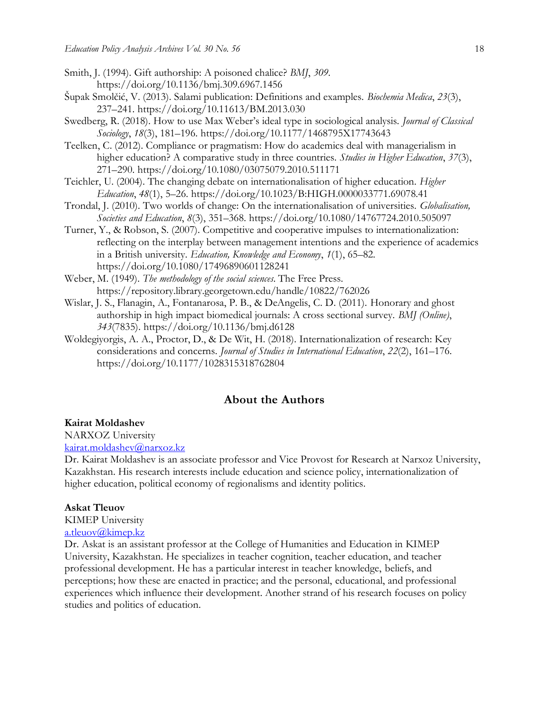- Smith, J. (1994). Gift authorship: A poisoned chalice? *BMJ*, *309*. <https://doi.org/10.1136/bmj.309.6967.1456>
- Šupak Smolčić, V. (2013). Salami publication: Definitions and examples. *Biochemia Medica*, *23*(3), 237–241.<https://doi.org/10.11613/BM.2013.030>
- Swedberg, R. (2018). How to use Max Weber's ideal type in sociological analysis. *Journal of Classical Sociology*, *18*(3), 181–196.<https://doi.org/10.1177/1468795X17743643>
- Teelken, C. (2012). Compliance or pragmatism: How do academics deal with managerialism in higher education? A comparative study in three countries. *Studies in Higher Education*, *37*(3), 271–290.<https://doi.org/10.1080/03075079.2010.511171>
- Teichler, U. (2004). The changing debate on internationalisation of higher education. *Higher Education*, *48*(1), 5–26.<https://doi.org/10.1023/B:HIGH.0000033771.69078.41>
- Trondal, J. (2010). Two worlds of change: On the internationalisation of universities. *Globalisation, Societies and Education*, *8*(3), 351–368.<https://doi.org/10.1080/14767724.2010.505097>
- Turner, Y., & Robson, S. (2007). Competitive and cooperative impulses to internationalization: reflecting on the interplay between management intentions and the experience of academics in a British university. *Education, Knowledge and Economy*, *1*(1), 65–82. <https://doi.org/10.1080/17496890601128241>
- Weber, M. (1949). *The methodology of the social sciences*. The Free Press. <https://repository.library.georgetown.edu/handle/10822/762026>
- Wislar, J. S., Flanagin, A., Fontanarosa, P. B., & DeAngelis, C. D. (2011). Honorary and ghost authorship in high impact biomedical journals: A cross sectional survey. *BMJ (Online)*, *343*(7835).<https://doi.org/10.1136/bmj.d6128>
- Woldegiyorgis, A. A., Proctor, D., & De Wit, H. (2018). Internationalization of research: Key considerations and concerns. *Journal of Studies in International Education*, *22*(2), 161–176. <https://doi.org/10.1177/1028315318762804>

#### **About the Authors**

#### **Kairat Moldashev**

NARXOZ University [kairat.moldashev@narxoz.kz](mailto:kairat.moldashev@narxoz.kz)

Dr. Kairat Moldashev is an associate professor and Vice Provost for Research at Narxoz University, Kazakhstan. His research interests include education and science policy, internationalization of higher education, political economy of regionalisms and identity politics.

#### **Askat Tleuov**

KIMEP University

#### [a.tleuov@kimep.kz](mailto:a.tleuov@kimep.kz)

Dr. Askat is an assistant professor at the College of Humanities and Education in KIMEP University, Kazakhstan. He specializes in teacher cognition, teacher education, and teacher professional development. He has a particular interest in teacher knowledge, beliefs, and perceptions; how these are enacted in practice; and the personal, educational, and professional experiences which influence their development. Another strand of his research focuses on policy studies and politics of education.